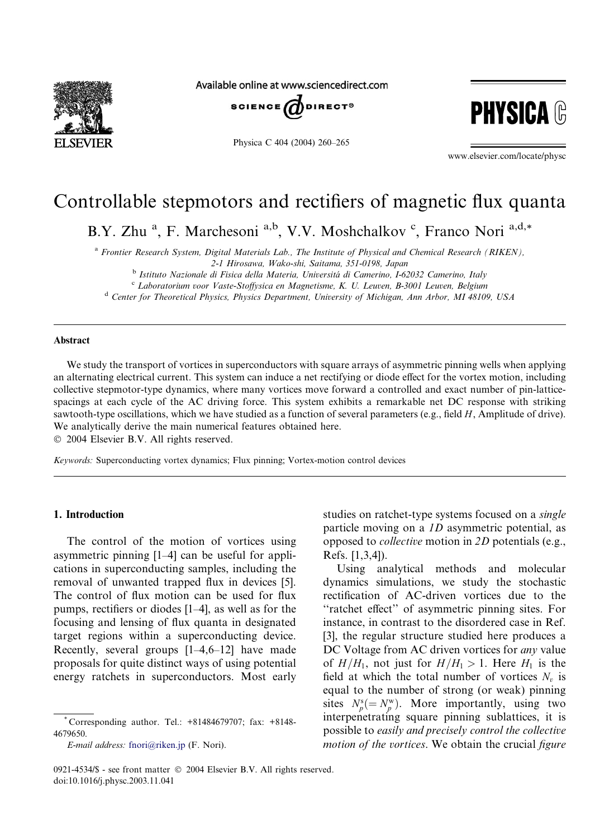

Available online at www.sciencedirect.com



Physica C 404 (2004) 260–265



www.elsevier.com/locate/physc

# Controllable stepmotors and rectifiers of magnetic flux quanta

B.Y. Zhu<sup>a</sup>, F. Marchesoni<sup>a,b</sup>, V.V. Moshchalkov<sup>c</sup>, Franco Nori<sup>a,d,\*</sup>

<sup>a</sup> Frontier Research System, Digital Materials Lab., The Institute of Physical and Chemical Research (RIKEN), 2-1 Hirosawa, Wako-shi, Saitama, 351-0198, Japan

<sup>b</sup> Istituto Nazionale di Fisica della Materia, Universitá di Camerino, I-62032 Camerino, Italy c Laboratorium voor Vaste-Stoffysica en Magnetisme, K. U. Leuven, B-3001 Leuven, Belgium

<sup>d</sup> Center for Theoretical Physics, Physics Department, University of Michigan, Ann Arbor, MI 48109, USA

#### Abstract

We study the transport of vortices in superconductors with square arrays of asymmetric pinning wells when applying an alternating electrical current. This system can induce a net rectifying or diode effect for the vortex motion, including collective stepmotor-type dynamics, where many vortices move forward a controlled and exact number of pin-latticespacings at each cycle of the AC driving force. This system exhibits a remarkable net DC response with striking sawtooth-type oscillations, which we have studied as a function of several parameters (e.g., field  $H$ , Amplitude of drive). We analytically derive the main numerical features obtained here.

2004 Elsevier B.V. All rights reserved.

Keywords: Superconducting vortex dynamics; Flux pinning; Vortex-motion control devices

#### 1. Introduction

The control of the motion of vortices using asymmetric pinning [1–4] can be useful for applications in superconducting samples, including the removal of unwanted trapped flux in devices [5]. The control of flux motion can be used for flux pumps, rectifiers or diodes [1–4], as well as for the focusing and lensing of flux quanta in designated target regions within a superconducting device. Recently, several groups  $[1-4,6-12]$  have made proposals for quite distinct ways of using potential energy ratchets in superconductors. Most early

E-mail address: [fnori@riken.jp](mail to: fnori@riken.jp) (F. Nori).

studies on ratchet-type systems focused on a single particle moving on a 1D asymmetric potential, as opposed to collective motion in 2D potentials (e.g., Refs. [1,3,4]).

Using analytical methods and molecular dynamics simulations, we study the stochastic rectification of AC-driven vortices due to the ''ratchet effect'' of asymmetric pinning sites. For instance, in contrast to the disordered case in Ref. [3], the regular structure studied here produces a DC Voltage from AC driven vortices for *any* value of  $H/H_1$ , not just for  $H/H_1 > 1$ . Here  $H_1$  is the field at which the total number of vortices  $N_v$  is equal to the number of strong (or weak) pinning sites  $N_p^s (= N_p^w)$ . More importantly, using two interpenetrating square pinning sublattices, it is possible to easily and precisely control the collective motion of the vortices. We obtain the crucial figure

<sup>\*</sup> Corresponding author. Tel.: +81484679707; fax: +8148- 4679650.

<sup>0921-4534/\$ -</sup> see front matter  $\odot$  2004 Elsevier B.V. All rights reserved. doi:10.1016/j.physc.2003.11.041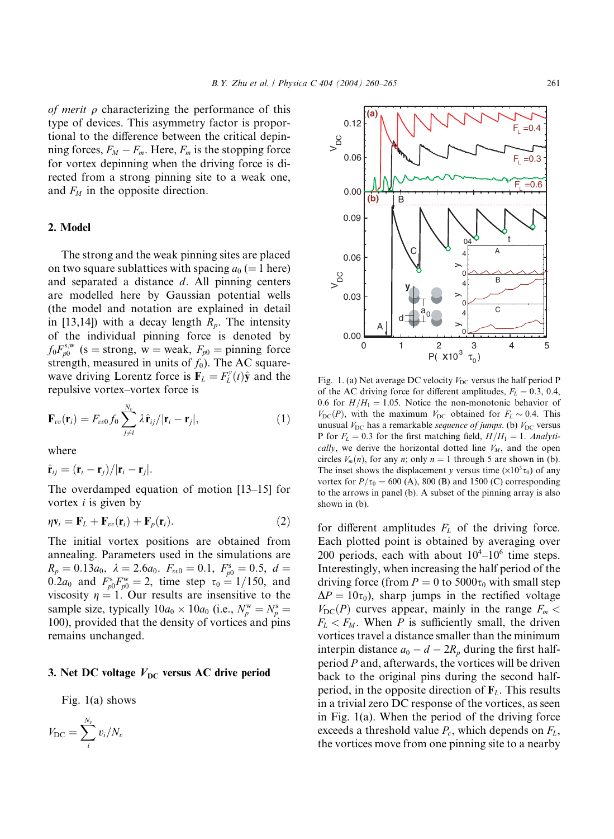of merit  $\rho$  characterizing the performance of this type of devices. This asymmetry factor is proportional to the difference between the critical depinning forces,  $F_M - F_m$ . Here,  $F_m$  is the stopping force for vortex depinning when the driving force is directed from a strong pinning site to a weak one, and  $F_M$  in the opposite direction.

## 2. Model

The strong and the weak pinning sites are placed on two square sublattices with spacing  $a_0 (=1$  here) and separated a distance d. All pinning centers are modelled here by Gaussian potential wells (the model and notation are explained in detail in [13,14]) with a decay length  $R_p$ . The intensity of the individual pinning force is denoted by  $f_0 F_{p0}^{s,w}$  (s = strong, w = weak,  $F_{p0}$  = pinning force strength, measured in units of  $f_0$ ). The AC squarewave driving Lorentz force is  $\mathbf{F}_L = F_L^y(t)\hat{\mathbf{y}}$  and the repulsive vortex–vortex force is

$$
\mathbf{F}_{vv}(\mathbf{r}_i) = F_{vv0} f_0 \sum_{j \neq i}^{N_v} \lambda \hat{\mathbf{r}}_{ij} / |\mathbf{r}_i - \mathbf{r}_j|, \qquad (1)
$$

where

$$
\hat{\mathbf{r}}_{ij} = (\mathbf{r}_i - \mathbf{r}_j)/|\mathbf{r}_i - \mathbf{r}_j|.
$$

The overdamped equation of motion [13–15] for vortex  $i$  is given by

$$
\eta \mathbf{v}_i = \mathbf{F}_L + \mathbf{F}_{vv}(\mathbf{r}_i) + \mathbf{F}_p(\mathbf{r}_i). \tag{2}
$$

The initial vortex positions are obtained from annealing. Parameters used in the simulations are  $R_p = 0.13a_0$ ,  $\lambda = 2.6a_0$ .  $F_{vv0} = 0.1$ ,  $F_{p0}^s = 0.5$ ,  $d =$ 0.2 $a_0$  and  $F_{p0}^s F_{p0}^w = 2$ , time step  $\tau_0 = 1/150$ , and viscosity  $\eta = 1$ . Our results are insensitive to the sample size, typically  $10a_0 \times 10a_0$  (i.e.,  $N_p^{\text{w}} = N_p^{\text{s}} =$ 100), provided that the density of vortices and pins remains unchanged.

#### 3. Net DC voltage  $V_{\text{DC}}$  versus AC drive period

Fig. 1(a) shows





Fig. 1. (a) Net average DC velocity  $V_{DC}$  versus the half period P of the AC driving force for different amplitudes,  $F_L = 0.3, 0.4,$ 0.6 for  $H/H_1 = 1.05$ . Notice the non-monotonic behavior of  $V_{\text{DC}}(P)$ , with the maximum  $V_{\text{DC}}$  obtained for  $F_L \sim 0.4$ . This unusual  $V_{\text{DC}}$  has a remarkable sequence of jumps. (b)  $V_{\text{DC}}$  versus P for  $F_L = 0.3$  for the first matching field,  $H/H_1 = 1$ . Analytically, we derive the horizontal dotted line  $V_M$ , and the open circles  $V_m(n)$ , for any n; only  $n = 1$  through 5 are shown in (b). The inset shows the displacement y versus time  $(\times 10^3 \tau_0)$  of any vortex for  $P/\tau_0 = 600$  (A), 800 (B) and 1500 (C) corresponding to the arrows in panel (b). A subset of the pinning array is also shown in (b).

for different amplitudes  $F<sub>L</sub>$  of the driving force. Each plotted point is obtained by averaging over 200 periods, each with about  $10^4$ – $10^6$  time steps. Interestingly, when increasing the half period of the driving force (from  $P = 0$  to 5000 $\tau_0$  with small step  $\Delta P = 10\tau_0$ , sharp jumps in the rectified voltage  $V_{\text{DC}}(P)$  curves appear, mainly in the range  $F_m$  <  $F_L < F_M$ . When P is sufficiently small, the driven vortices travel a distance smaller than the minimum interpin distance  $a_0 - d - 2R_p$  during the first halfperiod P and, afterwards, the vortices will be driven back to the original pins during the second halfperiod, in the opposite direction of  $F<sub>L</sub>$ . This results in a trivial zero DC response of the vortices, as seen in Fig. 1(a). When the period of the driving force exceeds a threshold value  $P_c$ , which depends on  $F_L$ , the vortices move from one pinning site to a nearby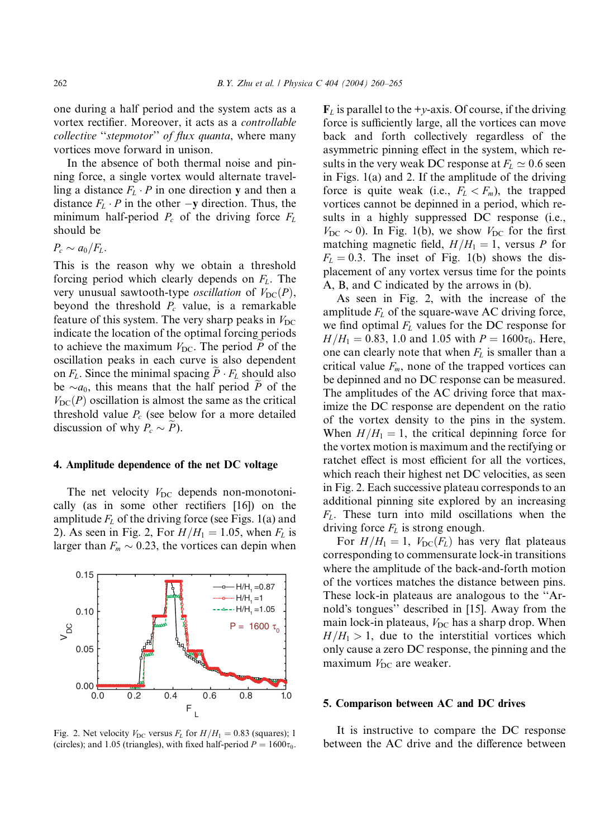one during a half period and the system acts as a vortex rectifier. Moreover, it acts as a controllable collective "stepmotor" of flux quanta, where many vortices move forward in unison.

In the absence of both thermal noise and pinning force, a single vortex would alternate travelling a distance  $F_L \cdot P$  in one direction y and then a distance  $F_L \cdot P$  in the other  $-\mathbf{y}$  direction. Thus, the minimum half-period  $P_c$  of the driving force  $F_L$ should be

 $P_c \sim a_0/F_L$ .

This is the reason why we obtain a threshold forcing period which clearly depends on  $F<sub>L</sub>$ . The very unusual sawtooth-type *oscillation* of  $V_{\text{DC}}(P)$ , beyond the threshold  $P_c$  value, is a remarkable feature of this system. The very sharp peaks in  $V_{DC}$ indicate the location of the optimal forcing periods to achieve the maximum  $V_{\text{DC}}$ . The period P of the oscillation peaks in each curve is also dependent on  $F_L$ . Since the minimal spacing  $P \cdot F_L$  should also be  $\sim a_0$ , this means that the half period P of the  $V_{\text{DC}}(P)$  oscillation is almost the same as the critical threshold value  $P_c$  (see below for a more detailed discussion of why  $P_c \sim P$ ).

#### 4. Amplitude dependence of the net DC voltage

The net velocity  $V_{\text{DC}}$  depends non-monotonically (as in some other rectifiers [16]) on the amplitude  $F<sub>L</sub>$  of the driving force (see Figs. 1(a) and 2). As seen in Fig. 2, For  $H/H_1 = 1.05$ , when  $F_L$  is larger than  $F_m \sim 0.23$ , the vortices can depin when



Fig. 2. Net velocity  $V_{\text{DC}}$  versus  $F_L$  for  $H/H_1 = 0.83$  (squares); 1 (circles); and 1.05 (triangles), with fixed half-period  $P = 1600\tau_0$ .

 $\mathbf{F}_L$  is parallel to the +y-axis. Of course, if the driving force is sufficiently large, all the vortices can move back and forth collectively regardless of the asymmetric pinning effect in the system, which results in the very weak DC response at  $F_L \simeq 0.6$  seen in Figs. 1(a) and 2. If the amplitude of the driving force is quite weak (i.e.,  $F_L < F_m$ ), the trapped vortices cannot be depinned in a period, which results in a highly suppressed DC response (i.e.,  $V_{\text{DC}} \sim 0$ ). In Fig. 1(b), we show  $V_{\text{DC}}$  for the first matching magnetic field,  $H/H_1=1$ , versus P for  $F<sub>L</sub> = 0.3$ . The inset of Fig. 1(b) shows the displacement of any vortex versus time for the points A, B, and C indicated by the arrows in (b).

As seen in Fig. 2, with the increase of the amplitude  $F<sub>L</sub>$  of the square-wave AC driving force, we find optimal  $F<sub>L</sub>$  values for the DC response for  $H/H_1 = 0.83$ , 1.0 and 1.05 with  $P = 1600\tau_0$ . Here, one can clearly note that when  $F_L$  is smaller than a critical value  $F_m$ , none of the trapped vortices can be depinned and no DC response can be measured. The amplitudes of the AC driving force that maximize the DC response are dependent on the ratio of the vortex density to the pins in the system. When  $H/H_1 = 1$ , the critical depinning force for the vortex motion is maximum and the rectifying or ratchet effect is most efficient for all the vortices, which reach their highest net DC velocities, as seen in Fig. 2. Each successive plateau corresponds to an additional pinning site explored by an increasing  $F<sub>L</sub>$ . These turn into mild oscillations when the driving force  $F<sub>L</sub>$  is strong enough.

For  $H/H_1 = 1$ ,  $V_{DC}(F_L)$  has very flat plateaus corresponding to commensurate lock-in transitions where the amplitude of the back-and-forth motion of the vortices matches the distance between pins. These lock-in plateaus are analogous to the ''Arnold's tongues" described in [15]. Away from the main lock-in plateaus,  $V_{DC}$  has a sharp drop. When  $H/H_1 > 1$ , due to the interstitial vortices which only cause a zero DC response, the pinning and the maximum  $V_{DC}$  are weaker.

# 5. Comparison between AC and DC drives

It is instructive to compare the DC response between the AC drive and the difference between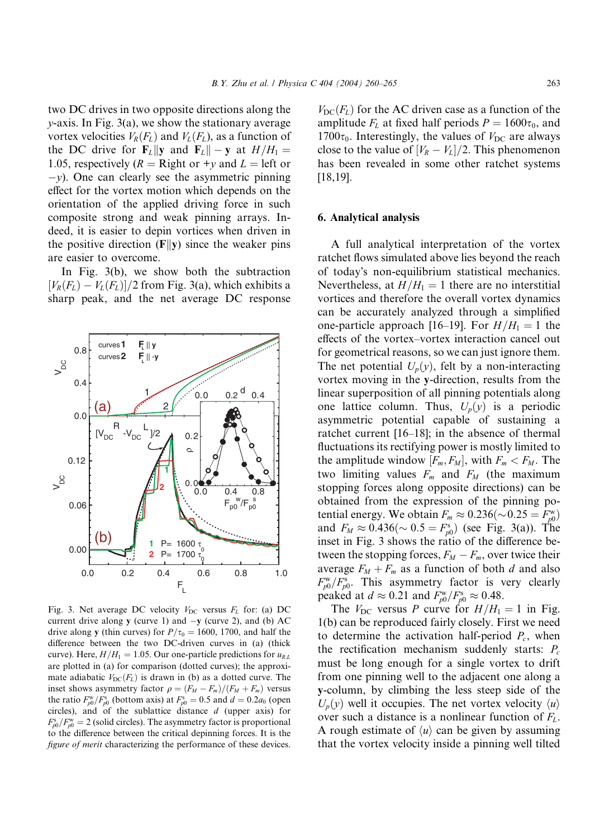two DC drives in two opposite directions along the  $y$ -axis. In Fig. 3(a), we show the stationary average vortex velocities  $V_R(F_L)$  and  $V_L(F_L)$ , as a function of the DC drive for  $\mathbf{F}_L \|\mathbf{y}$  and  $\mathbf{F}_L \|\mathbf{y} = \mathbf{y}$  at  $H/H_1 =$ 1.05, respectively ( $R =$ Right or +y and  $L =$  left or  $-y$ ). One can clearly see the asymmetric pinning effect for the vortex motion which depends on the orientation of the applied driving force in such composite strong and weak pinning arrays. Indeed, it is easier to depin vortices when driven in the positive direction  $(F||y)$  since the weaker pins are easier to overcome.

In Fig. 3(b), we show both the subtraction  $[V_R(F_L) - V_L(F_L)]/2$  from Fig. 3(a), which exhibits a sharp peak, and the net average DC response



Fig. 3. Net average DC velocity  $V_{\text{DC}}$  versus  $F_L$  for: (a) DC current drive along y (curve 1) and  $-y$  (curve 2), and (b) AC drive along y (thin curves) for  $P/\tau_0=1600$ , 1700, and half the difference between the two DC-driven curves in (a) (thick curve). Here,  $H/H_1 = 1.05$ . Our one-particle predictions for  $u_{R,L}$ are plotted in (a) for comparison (dotted curves); the approximate adiabatic  $V_{\text{DC}}(F_L)$  is drawn in (b) as a dotted curve. The inset shows asymmetry factor  $\rho = (F_M - F_m)/(F_M + F_m)$  versus the ratio  $F_{p0}^{\text{w}}/F_{p0}^{\text{s}}$  (bottom axis) at  $F_{p0}^{\text{s}} = 0.5$  and  $d = 0.2a_0$  (open circles), and of the sublattice distance d (upper axis) for  $F_{p0}^{\rm s}/F_{p0}^{\rm w}=2$  (solid circles). The asymmetry factor is proportional to the difference between the critical depinning forces. It is the figure of merit characterizing the performance of these devices.

 $V_{\text{DC}}(F_L)$  for the AC driven case as a function of the amplitude  $F<sub>L</sub>$  at fixed half periods  $P = 1600\tau_0$ , and  $1700\tau_0$ . Interestingly, the values of  $V_{DC}$  are always close to the value of  $[V_R - V_L]/2$ . This phenomenon has been revealed in some other ratchet systems [18,19].

# 6. Analytical analysis

A full analytical interpretation of the vortex ratchet flows simulated above lies beyond the reach of todays non-equilibrium statistical mechanics. Nevertheless, at  $H/H_1 = 1$  there are no interstitial vortices and therefore the overall vortex dynamics can be accurately analyzed through a simplified one-particle approach [16–19]. For  $H/H_1 = 1$  the effects of the vortex–vortex interaction cancel out for geometrical reasons, so we can just ignore them. The net potential  $U_p(y)$ , felt by a non-interacting vortex moving in the y-direction, results from the linear superposition of all pinning potentials along one lattice column. Thus,  $U_p(y)$  is a periodic asymmetric potential capable of sustaining a ratchet current [16–18]; in the absence of thermal fluctuations its rectifying power is mostly limited to the amplitude window  $[F_m, F_M]$ , with  $F_m < F_M$ . The two limiting values  $F_m$  and  $F_M$  (the maximum stopping forces along opposite directions) can be obtained from the expression of the pinning potential energy. We obtain  $F_m \approx 0.236(\sim 0.25 = F_{p0}^{\text{w}})$ and  $F_M \approx 0.436 (\sim 0.5 = F_{p0}^s)$  (see Fig. 3(a)). The inset in Fig. 3 shows the ratio of the difference between the stopping forces,  $F_M - F_m$ , over twice their average  $F_M + F_m$  as a function of both d and also  $F_{p0}^{\text{w}}/F_{p0}^{\text{s}}$ . This asymmetry factor is very clearly peaked at  $d \approx 0.21$  and  $F_{p0}^{\text{w}}/F_{p0}^{\text{s}} \approx 0.48$ .

The  $V_{\text{DC}}$  versus P curve for  $H/H_1 = 1$  in Fig. 1(b) can be reproduced fairly closely. First we need to determine the activation half-period  $P_c$ , when the rectification mechanism suddenly starts:  $P_c$ must be long enough for a single vortex to drift from one pinning well to the adjacent one along a y-column, by climbing the less steep side of the  $U_p(v)$  well it occupies. The net vortex velocity  $\langle u \rangle$ over such a distance is a nonlinear function of  $F<sub>L</sub>$ . A rough estimate of  $\langle u \rangle$  can be given by assuming that the vortex velocity inside a pinning well tilted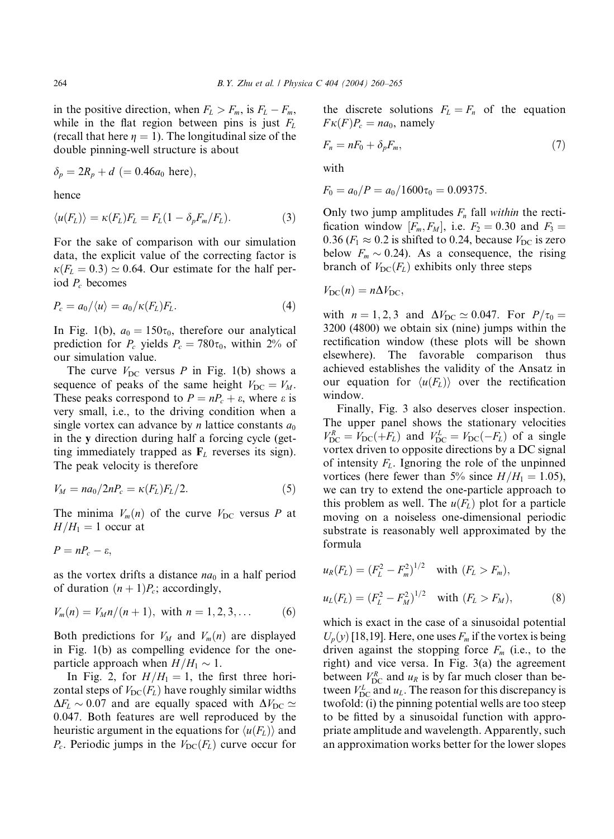in the positive direction, when  $F_L > F_m$ , is  $F_L - F_m$ , while in the flat region between pins is just  $F<sub>L</sub>$ (recall that here  $\eta = 1$ ). The longitudinal size of the double pinning-well structure is about

$$
\delta_p = 2R_p + d \ (= 0.46a_0 \text{ here}),
$$

hence

$$
\langle u(F_L) \rangle = \kappa(F_L) F_L = F_L (1 - \delta_p F_m / F_L). \tag{3}
$$

For the sake of comparison with our simulation data, the explicit value of the correcting factor is  $\kappa(F_L = 0.3) \simeq 0.64$ . Our estimate for the half period  $P_c$  becomes

$$
P_c = a_0 / \langle u \rangle = a_0 / \kappa(F_L) F_L. \tag{4}
$$

In Fig. 1(b),  $a_0 = 150\tau_0$ , therefore our analytical prediction for  $P_c$  yields  $P_c = 780\tau_0$ , within 2% of our simulation value.

The curve  $V_{DC}$  versus P in Fig. 1(b) shows a sequence of peaks of the same height  $V_{DC} = V_M$ . These peaks correspond to  $P = nP_c + \varepsilon$ , where  $\varepsilon$  is very small, i.e., to the driving condition when a single vortex can advance by *n* lattice constants  $a_0$ in the y direction during half a forcing cycle (getting immediately trapped as  $\mathbf{F}_L$  reverses its sign). The peak velocity is therefore

$$
V_M = na_0/2nP_c = \kappa(F_L)F_L/2.
$$
\n<sup>(5)</sup>

The minima  $V_m(n)$  of the curve  $V_{DC}$  versus P at  $H/H_1 = 1$  occur at

$$
P=nP_c-\varepsilon,
$$

as the vortex drifts a distance  $na_0$  in a half period of duration  $(n + 1)P_c$ ; accordingly,

$$
V_m(n) = V_M n/(n+1), \text{ with } n = 1, 2, 3, ... \tag{6}
$$

Both predictions for  $V_M$  and  $V_m(n)$  are displayed in Fig. 1(b) as compelling evidence for the oneparticle approach when  $H/H_1 \sim 1$ .

In Fig. 2, for  $H/H_1 = 1$ , the first three horizontal steps of  $V_{\text{DC}}(F_L)$  have roughly similar widths  $\Delta F_L \sim 0.07$  and are equally spaced with  $\Delta V_{\text{DC}} \simeq$ 0:047. Both features are well reproduced by the heuristic argument in the equations for  $\langle u(F_L) \rangle$  and  $P_c$ . Periodic jumps in the  $V_{\text{DC}}(F_L)$  curve occur for the discrete solutions  $F_L = F_n$  of the equation  $F\kappa(F)P_c = na_0$ , namely

$$
F_n = nF_0 + \delta_p F_m,\tag{7}
$$

with

$$
F_0 = a_0/P = a_0/1600\tau_0 = 0.09375.
$$

Only two jump amplitudes  $F_n$  fall within the rectification window  $[F_m, F_M]$ , i.e.  $F_2 = 0.30$  and  $F_3 =$ 0.36 ( $F_1 \approx 0.2$  is shifted to 0.24, because  $V_{DC}$  is zero below  $F_m \sim 0.24$ ). As a consequence, the rising branch of  $V_{DC}(F_L)$  exhibits only three steps

$$
V_{\rm DC}(n) = n\Delta V_{\rm DC},
$$

with  $n = 1, 2, 3$  and  $\Delta V_{\text{DC}} \simeq 0.047$ . For  $P/\tau_0 =$ 3200 (4800) we obtain six (nine) jumps within the rectification window (these plots will be shown elsewhere). The favorable comparison thus achieved establishes the validity of the Ansatz in our equation for  $\langle u(F_L) \rangle$  over the rectification window.

Finally, Fig. 3 also deserves closer inspection. The upper panel shows the stationary velocities  $V_{\text{DC}}^R = V_{\text{DC}}(+F_L)$  and  $V_{\text{DC}}^L = V_{\text{DC}}(-F_L)$  of a single vortex driven to opposite directions by a DC signal of intensity  $F<sub>L</sub>$ . Ignoring the role of the unpinned vortices (here fewer than 5% since  $H/H_1 = 1.05$ ), we can try to extend the one-particle approach to this problem as well. The  $u(F_L)$  plot for a particle moving on a noiseless one-dimensional periodic substrate is reasonably well approximated by the formula

$$
u_R(F_L) = (F_L^2 - F_m^2)^{1/2} \quad \text{with } (F_L > F_m),
$$
  

$$
u_L(F_L) = (F_L^2 - F_M^2)^{1/2} \quad \text{with } (F_L > F_M),
$$
 (8)

which is exact in the case of a sinusoidal potential  $U_p(y)$  [18,19]. Here, one uses  $F_m$  if the vortex is being driven against the stopping force  $F_m$  (i.e., to the right) and vice versa. In Fig. 3(a) the agreement between  $V_{DC}^R$  and  $u_R$  is by far much closer than between  $V_{\text{DC}}^L$  and  $u_L$ . The reason for this discrepancy is twofold: (i) the pinning potential wells are too steep to be fitted by a sinusoidal function with appropriate amplitude and wavelength. Apparently, such an approximation works better for the lower slopes